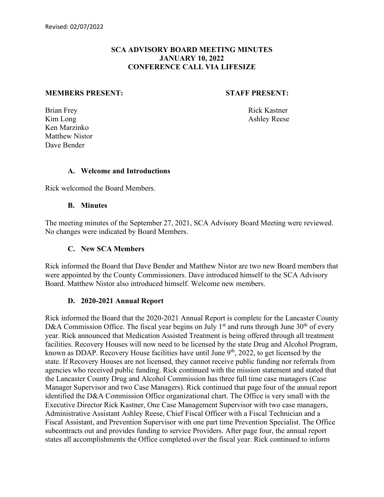## **SCA ADVISORY BOARD MEETING MINUTES JANUARY 10, 2022 CONFERENCE CALL VIA LIFESIZE**

#### **MEMBERS PRESENT: STAFF PRESENT:**

Brian Frey Rick Kastner Kim Long Ashley Reese Ken Marzinko Matthew Nistor Dave Bender

## **A. Welcome and Introductions**

Rick welcomed the Board Members.

## **B. Minutes**

The meeting minutes of the September 27, 2021, SCA Advisory Board Meeting were reviewed. No changes were indicated by Board Members.

#### **C. New SCA Members**

Rick informed the Board that Dave Bender and Matthew Nistor are two new Board members that were appointed by the County Commissioners. Dave introduced himself to the SCA Advisory Board. Matthew Nistor also introduced himself. Welcome new members.

## **D. 2020-2021 Annual Report**

Rick informed the Board that the 2020-2021 Annual Report is complete for the Lancaster County D&A Commission Office. The fiscal year begins on July  $1<sup>st</sup>$  and runs through June 30<sup>th</sup> of every year. Rick announced that Medication Assisted Treatment is being offered through all treatment facilities. Recovery Houses will now need to be licensed by the state Drug and Alcohol Program, known as DDAP. Recovery House facilities have until June 9<sup>th</sup>, 2022, to get licensed by the state. If Recovery Houses are not licensed, they cannot receive public funding nor referrals from agencies who received public funding. Rick continued with the mission statement and stated that the Lancaster County Drug and Alcohol Commission has three full time case managers (Case Manager Supervisor and two Case Managers). Rick continued that page four of the annual report identified the D&A Commission Office organizational chart. The Office is very small with the Executive Director Rick Kastner, One Case Management Supervisor with two case managers, Administrative Assistant Ashley Reese, Chief Fiscal Officer with a Fiscal Technician and a Fiscal Assistant, and Prevention Supervisor with one part time Prevention Specialist. The Office subcontracts out and provides funding to service Providers. After page four, the annual report states all accomplishments the Office completed over the fiscal year. Rick continued to inform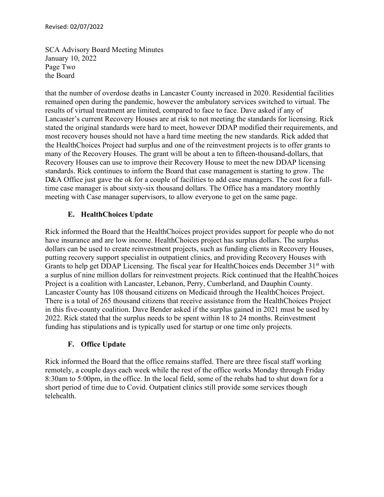SCA Advisory Board Meeting Minutes January 10, 2022 Page Two the Board

that the number of overdose deaths in Lancaster County increased in 2020. Residential facilities remained open during the pandemic, however the ambulatory services switched to virtual. The results of virtual treatment are limited, compared to face to face. Dave asked if any of Lancaster's current Recovery Houses are at risk to not meeting the standards for licensing. Rick stated the original standards were hard to meet, however DDAP modified their requirements, and most recovery houses should not have a hard time meeting the new standards. Rick added that the HealthChoices Project had surplus and one of the reinvestment projects is to offer grants to many of the Recovery Houses. The grant will be about a ten to fifteen-thousand-dollars, that Recovery Houses can use to improve their Recovery House to meet the new DDAP licensing standards. Rick continues to inform the Board that case management is starting to grow. The D&A Office just gave the ok for a couple of facilities to add case managers. The cost for a fulltime case manager is about sixty-six thousand dollars. The Office has a mandatory monthly meeting with Case manager supervisors, to allow everyone to get on the same page.

# **E. HealthChoices Update**

Rick informed the Board that the HealthChoices project provides support for people who do not have insurance and are low income. HealthChoices project has surplus dollars. The surplus dollars can be used to create reinvestment projects, such as funding clients in Recovery Houses, putting recovery support specialist in outpatient clinics, and providing Recovery Houses with Grants to help get DDAP Licensing. The fiscal year for HealthChoices ends December 31<sup>st</sup> with a surplus of nine million dollars for reinvestment projects. Rick continued that the HealthChoices Project is a coalition with Lancaster, Lebanon, Perry, Cumberland, and Dauphin County. Lancaster County has 108 thousand citizens on Medicaid through the HealthChoices Project. There is a total of 265 thousand citizens that receive assistance from the HealthChoices Project in this five-county coalition. Dave Bender asked if the surplus gained in 2021 must be used by 2022. Rick stated that the surplus needs to be spent within 18 to 24 months. Reinvestment funding has stipulations and is typically used for startup or one time only projects.

# **F. Office Update**

Rick informed the Board that the office remains staffed. There are three fiscal staff working remotely, a couple days each week while the rest of the office works Monday through Friday 8:30am to 5:00pm, in the office. In the local field, some of the rehabs had to shut down for a short period of time due to Covid. Outpatient clinics still provide some services though telehealth.